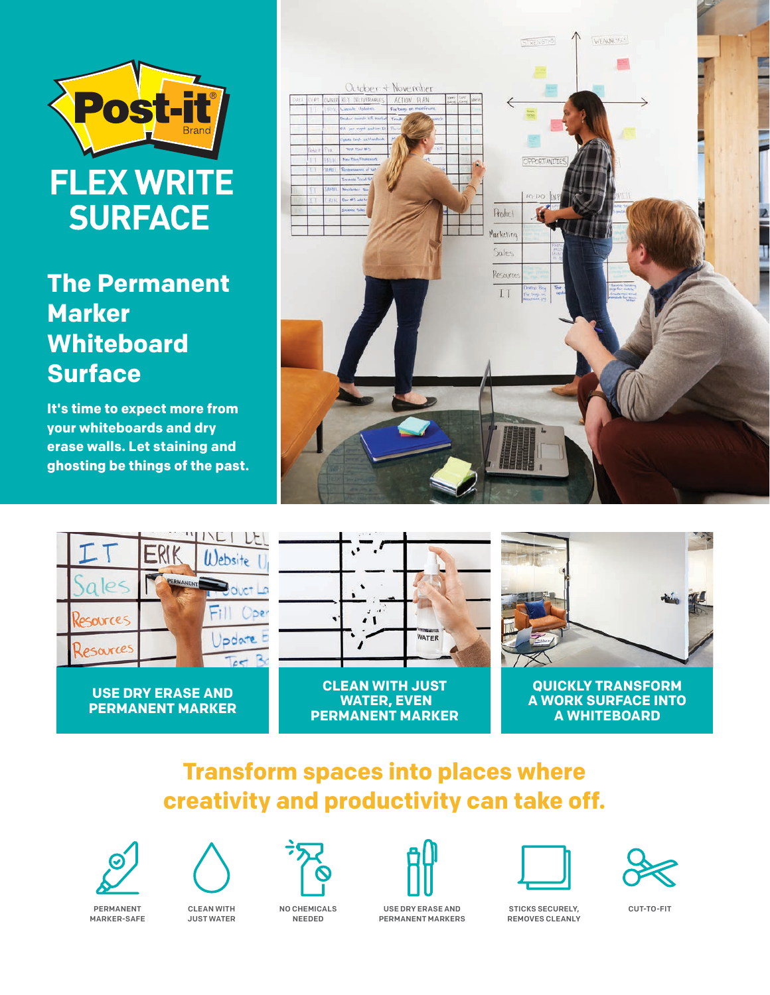

# **The Permanent Marker Whiteboard Surface**

**It's time to expect more from your whiteboards and dry erase walls. Let staining and ghosting be things of the past.**





**USE DRY ERASE AND PERMANENT MARKER**



**CLEAN WITH JUST WATER, EVEN PERMANENT MARKER**



**QUICKLY TRANSFORM A WORK SURFACE INTO A WHITEBOARD**

## **Transform spaces into places where creativity and productivity can take off.**





PERMANENT MARKER-SAFE

CLEAN WITH JUST WATER

NO CHEMICALS NEEDED





USE DRY ERASE AND PERMANENT MARKERS

STICKS SECURELY, REMOVES CLEANLY

CUT-TO-FIT